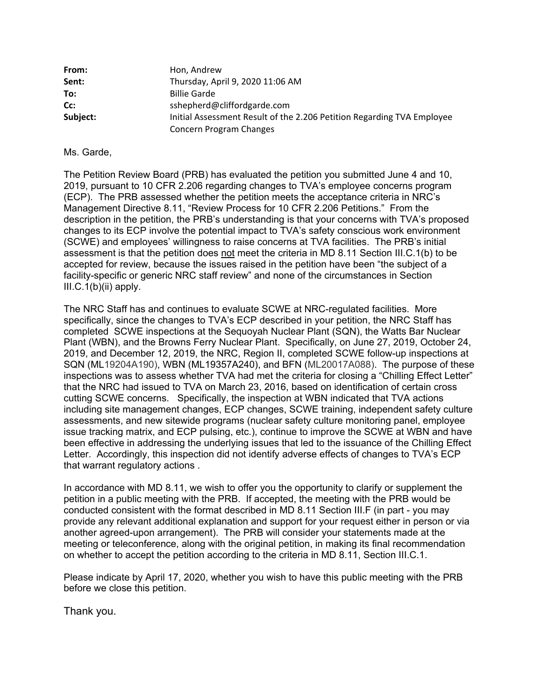| From:    | Hon, Andrew                                                            |
|----------|------------------------------------------------------------------------|
| Sent:    | Thursday, April 9, 2020 11:06 AM                                       |
| To:      | <b>Billie Garde</b>                                                    |
| Cc:      | sshepherd@cliffordgarde.com                                            |
| Subject: | Initial Assessment Result of the 2.206 Petition Regarding TVA Employee |
|          | Concern Program Changes                                                |

## Ms. Garde,

The Petition Review Board (PRB) has evaluated the petition you submitted June 4 and 10, 2019, pursuant to 10 CFR 2.206 regarding changes to TVA's employee concerns program (ECP). The PRB assessed whether the petition meets the acceptance criteria in NRC's Management Directive 8.11, "Review Process for 10 CFR 2.206 Petitions." From the description in the petition, the PRB's understanding is that your concerns with TVA's proposed changes to its ECP involve the potential impact to TVA's safety conscious work environment (SCWE) and employees' willingness to raise concerns at TVA facilities. The PRB's initial assessment is that the petition does not meet the criteria in MD 8.11 Section III.C.1(b) to be accepted for review, because the issues raised in the petition have been "the subject of a facility-specific or generic NRC staff review" and none of the circumstances in Section III.C.1(b)(ii) apply.

The NRC Staff has and continues to evaluate SCWE at NRC-regulated facilities. More specifically, since the changes to TVA's ECP described in your petition, the NRC Staff has completed SCWE inspections at the Sequoyah Nuclear Plant (SQN), the Watts Bar Nuclear Plant (WBN), and the Browns Ferry Nuclear Plant. Specifically, on June 27, 2019, October 24, 2019, and December 12, 2019, the NRC, Region II, completed SCWE follow-up inspections at SQN (ML19204A190), WBN (ML19357A240), and BFN (ML20017A088). The purpose of these inspections was to assess whether TVA had met the criteria for closing a "Chilling Effect Letter" that the NRC had issued to TVA on March 23, 2016, based on identification of certain cross cutting SCWE concerns. Specifically, the inspection at WBN indicated that TVA actions including site management changes, ECP changes, SCWE training, independent safety culture assessments, and new sitewide programs (nuclear safety culture monitoring panel, employee issue tracking matrix, and ECP pulsing, etc.), continue to improve the SCWE at WBN and have been effective in addressing the underlying issues that led to the issuance of the Chilling Effect Letter. Accordingly, this inspection did not identify adverse effects of changes to TVA's ECP that warrant regulatory actions .

In accordance with MD 8.11, we wish to offer you the opportunity to clarify or supplement the petition in a public meeting with the PRB. If accepted, the meeting with the PRB would be conducted consistent with the format described in MD 8.11 Section III.F (in part - you may provide any relevant additional explanation and support for your request either in person or via another agreed-upon arrangement). The PRB will consider your statements made at the meeting or teleconference, along with the original petition, in making its final recommendation on whether to accept the petition according to the criteria in MD 8.11, Section III.C.1.

Please indicate by April 17, 2020, whether you wish to have this public meeting with the PRB before we close this petition.

Thank you.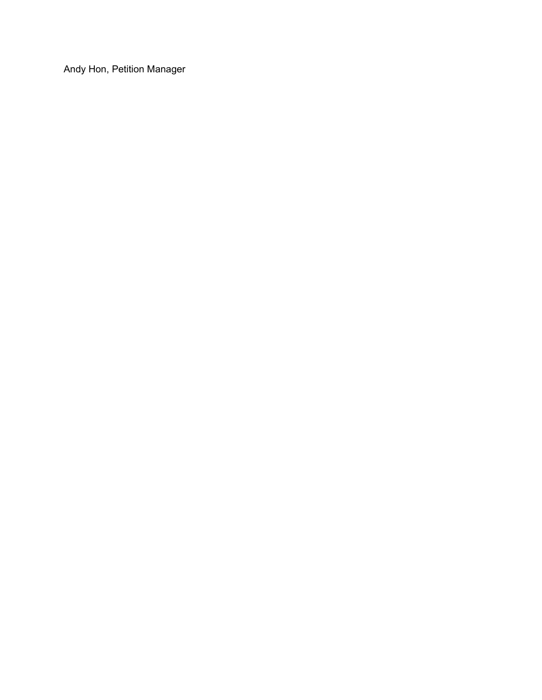Andy Hon, Petition Manager